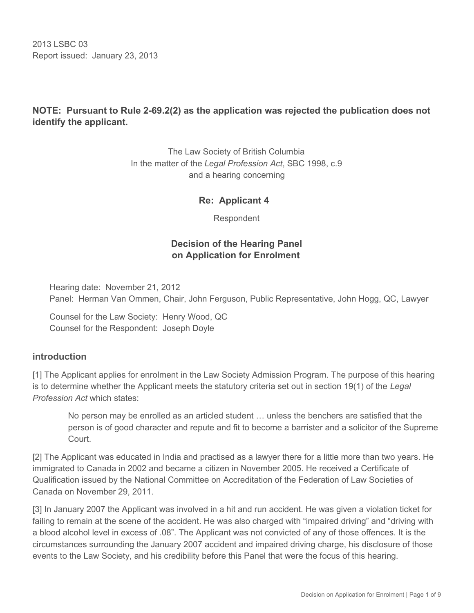2013 LSBC 03 Report issued: January 23, 2013

## **NOTE: Pursuant to Rule 2-69.2(2) as the application was rejected the publication does not identify the applicant.**

The Law Society of British Columbia In the matter of the *Legal Profession Act*, SBC 1998, c.9 and a hearing concerning

### **Re: Applicant 4**

Respondent

### **Decision of the Hearing Panel on Application for Enrolment**

Hearing date: November 21, 2012 Panel: Herman Van Ommen, Chair, John Ferguson, Public Representative, John Hogg, QC, Lawyer

Counsel for the Law Society: Henry Wood, QC Counsel for the Respondent: Joseph Doyle

#### **introduction**

[1] The Applicant applies for enrolment in the Law Society Admission Program. The purpose of this hearing is to determine whether the Applicant meets the statutory criteria set out in section 19(1) of the *Legal Profession Act* which states:

No person may be enrolled as an articled student … unless the benchers are satisfied that the person is of good character and repute and fit to become a barrister and a solicitor of the Supreme Court.

[2] The Applicant was educated in India and practised as a lawyer there for a little more than two years. He immigrated to Canada in 2002 and became a citizen in November 2005. He received a Certificate of Qualification issued by the National Committee on Accreditation of the Federation of Law Societies of Canada on November 29, 2011.

[3] In January 2007 the Applicant was involved in a hit and run accident. He was given a violation ticket for failing to remain at the scene of the accident. He was also charged with "impaired driving" and "driving with a blood alcohol level in excess of .08". The Applicant was not convicted of any of those offences. It is the circumstances surrounding the January 2007 accident and impaired driving charge, his disclosure of those events to the Law Society, and his credibility before this Panel that were the focus of this hearing.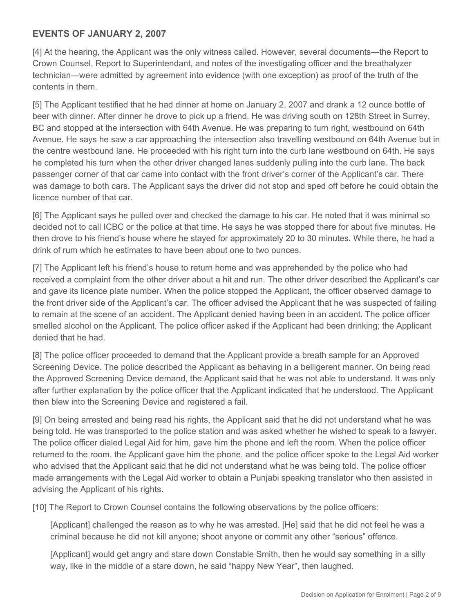### **EVENTS OF JANUARY 2, 2007**

[4] At the hearing, the Applicant was the only witness called. However, several documents—the Report to Crown Counsel, Report to Superintendant, and notes of the investigating officer and the breathalyzer technician—were admitted by agreement into evidence (with one exception) as proof of the truth of the contents in them.

[5] The Applicant testified that he had dinner at home on January 2, 2007 and drank a 12 ounce bottle of beer with dinner. After dinner he drove to pick up a friend. He was driving south on 128th Street in Surrey, BC and stopped at the intersection with 64th Avenue. He was preparing to turn right, westbound on 64th Avenue. He says he saw a car approaching the intersection also travelling westbound on 64th Avenue but in the centre westbound lane. He proceeded with his right turn into the curb lane westbound on 64th. He says he completed his turn when the other driver changed lanes suddenly pulling into the curb lane. The back passenger corner of that car came into contact with the front driver's corner of the Applicant's car. There was damage to both cars. The Applicant says the driver did not stop and sped off before he could obtain the licence number of that car.

[6] The Applicant says he pulled over and checked the damage to his car. He noted that it was minimal so decided not to call ICBC or the police at that time. He says he was stopped there for about five minutes. He then drove to his friend's house where he stayed for approximately 20 to 30 minutes. While there, he had a drink of rum which he estimates to have been about one to two ounces.

[7] The Applicant left his friend's house to return home and was apprehended by the police who had received a complaint from the other driver about a hit and run. The other driver described the Applicant's car and gave its licence plate number. When the police stopped the Applicant, the officer observed damage to the front driver side of the Applicant's car. The officer advised the Applicant that he was suspected of failing to remain at the scene of an accident. The Applicant denied having been in an accident. The police officer smelled alcohol on the Applicant. The police officer asked if the Applicant had been drinking; the Applicant denied that he had.

[8] The police officer proceeded to demand that the Applicant provide a breath sample for an Approved Screening Device. The police described the Applicant as behaving in a belligerent manner. On being read the Approved Screening Device demand, the Applicant said that he was not able to understand. It was only after further explanation by the police officer that the Applicant indicated that he understood. The Applicant then blew into the Screening Device and registered a fail.

[9] On being arrested and being read his rights, the Applicant said that he did not understand what he was being told. He was transported to the police station and was asked whether he wished to speak to a lawyer. The police officer dialed Legal Aid for him, gave him the phone and left the room. When the police officer returned to the room, the Applicant gave him the phone, and the police officer spoke to the Legal Aid worker who advised that the Applicant said that he did not understand what he was being told. The police officer made arrangements with the Legal Aid worker to obtain a Punjabi speaking translator who then assisted in advising the Applicant of his rights.

[10] The Report to Crown Counsel contains the following observations by the police officers:

[Applicant] challenged the reason as to why he was arrested. [He] said that he did not feel he was a criminal because he did not kill anyone; shoot anyone or commit any other "serious" offence.

[Applicant] would get angry and stare down Constable Smith, then he would say something in a silly way, like in the middle of a stare down, he said "happy New Year", then laughed.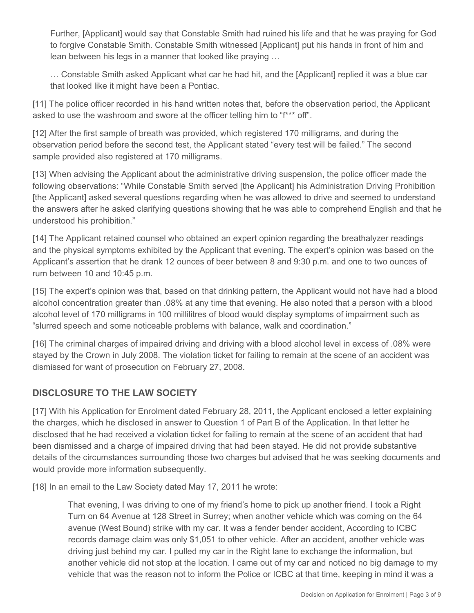Further, [Applicant] would say that Constable Smith had ruined his life and that he was praying for God to forgive Constable Smith. Constable Smith witnessed [Applicant] put his hands in front of him and lean between his legs in a manner that looked like praying …

… Constable Smith asked Applicant what car he had hit, and the [Applicant] replied it was a blue car that looked like it might have been a Pontiac.

[11] The police officer recorded in his hand written notes that, before the observation period, the Applicant asked to use the washroom and swore at the officer telling him to "f\*\*\* off".

[12] After the first sample of breath was provided, which registered 170 milligrams, and during the observation period before the second test, the Applicant stated "every test will be failed." The second sample provided also registered at 170 milligrams.

[13] When advising the Applicant about the administrative driving suspension, the police officer made the following observations: "While Constable Smith served [the Applicant] his Administration Driving Prohibition [the Applicant] asked several questions regarding when he was allowed to drive and seemed to understand the answers after he asked clarifying questions showing that he was able to comprehend English and that he understood his prohibition."

[14] The Applicant retained counsel who obtained an expert opinion regarding the breathalyzer readings and the physical symptoms exhibited by the Applicant that evening. The expert's opinion was based on the Applicant's assertion that he drank 12 ounces of beer between 8 and 9:30 p.m. and one to two ounces of rum between 10 and 10:45 p.m.

[15] The expert's opinion was that, based on that drinking pattern, the Applicant would not have had a blood alcohol concentration greater than .08% at any time that evening. He also noted that a person with a blood alcohol level of 170 milligrams in 100 millilitres of blood would display symptoms of impairment such as "slurred speech and some noticeable problems with balance, walk and coordination."

[16] The criminal charges of impaired driving and driving with a blood alcohol level in excess of .08% were stayed by the Crown in July 2008. The violation ticket for failing to remain at the scene of an accident was dismissed for want of prosecution on February 27, 2008.

## **DISCLOSURE TO THE LAW SOCIETY**

[17] With his Application for Enrolment dated February 28, 2011, the Applicant enclosed a letter explaining the charges, which he disclosed in answer to Question 1 of Part B of the Application. In that letter he disclosed that he had received a violation ticket for failing to remain at the scene of an accident that had been dismissed and a charge of impaired driving that had been stayed. He did not provide substantive details of the circumstances surrounding those two charges but advised that he was seeking documents and would provide more information subsequently.

[18] In an email to the Law Society dated May 17, 2011 he wrote:

That evening, I was driving to one of my friend's home to pick up another friend. I took a Right Turn on 64 Avenue at 128 Street in Surrey; when another vehicle which was coming on the 64 avenue (West Bound) strike with my car. It was a fender bender accident, According to ICBC records damage claim was only \$1,051 to other vehicle. After an accident, another vehicle was driving just behind my car. I pulled my car in the Right lane to exchange the information, but another vehicle did not stop at the location. I came out of my car and noticed no big damage to my vehicle that was the reason not to inform the Police or ICBC at that time, keeping in mind it was a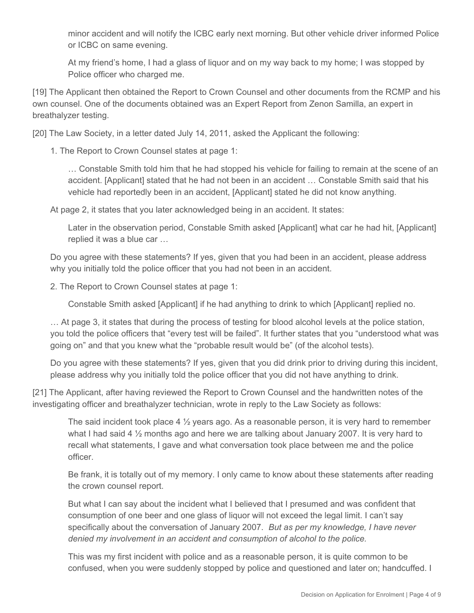minor accident and will notify the ICBC early next morning. But other vehicle driver informed Police or ICBC on same evening.

At my friend's home, I had a glass of liquor and on my way back to my home; I was stopped by Police officer who charged me.

[19] The Applicant then obtained the Report to Crown Counsel and other documents from the RCMP and his own counsel. One of the documents obtained was an Expert Report from Zenon Samilla, an expert in breathalyzer testing.

[20] The Law Society, in a letter dated July 14, 2011, asked the Applicant the following:

1. The Report to Crown Counsel states at page 1:

… Constable Smith told him that he had stopped his vehicle for failing to remain at the scene of an accident. [Applicant] stated that he had not been in an accident … Constable Smith said that his vehicle had reportedly been in an accident, [Applicant] stated he did not know anything.

At page 2, it states that you later acknowledged being in an accident. It states:

Later in the observation period, Constable Smith asked [Applicant] what car he had hit, [Applicant] replied it was a blue car …

Do you agree with these statements? If yes, given that you had been in an accident, please address why you initially told the police officer that you had not been in an accident.

2. The Report to Crown Counsel states at page 1:

Constable Smith asked [Applicant] if he had anything to drink to which [Applicant] replied no.

… At page 3, it states that during the process of testing for blood alcohol levels at the police station, you told the police officers that "every test will be failed". It further states that you "understood what was going on" and that you knew what the "probable result would be" (of the alcohol tests).

Do you agree with these statements? If yes, given that you did drink prior to driving during this incident, please address why you initially told the police officer that you did not have anything to drink.

[21] The Applicant, after having reviewed the Report to Crown Counsel and the handwritten notes of the investigating officer and breathalyzer technician, wrote in reply to the Law Society as follows:

The said incident took place  $4\frac{1}{2}$  years ago. As a reasonable person, it is very hard to remember what I had said 4 <sup>1</sup>/<sub>2</sub> months ago and here we are talking about January 2007. It is very hard to recall what statements, I gave and what conversation took place between me and the police officer.

Be frank, it is totally out of my memory. I only came to know about these statements after reading the crown counsel report.

But what I can say about the incident what I believed that I presumed and was confident that consumption of one beer and one glass of liquor will not exceed the legal limit. I can't say specifically about the conversation of January 2007. *But as per my knowledge, I have never denied my involvement in an accident and consumption of alcohol to the police.*

This was my first incident with police and as a reasonable person, it is quite common to be confused, when you were suddenly stopped by police and questioned and later on; handcuffed. I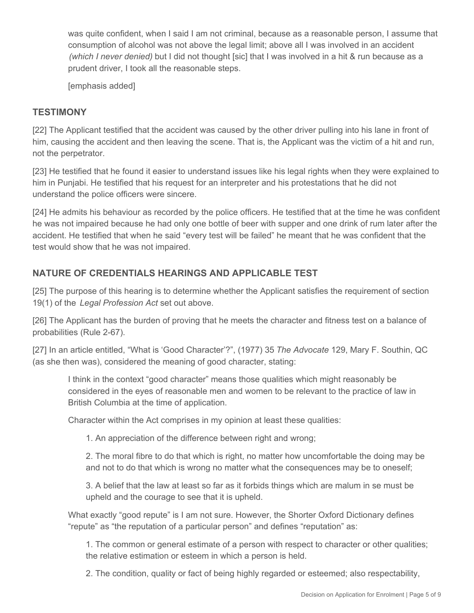was quite confident, when I said I am not criminal, because as a reasonable person, I assume that consumption of alcohol was not above the legal limit; above all I was involved in an accident *(which I never denied)* but I did not thought [sic] that I was involved in a hit & run because as a prudent driver, I took all the reasonable steps.

[emphasis added]

## **TESTIMONY**

[22] The Applicant testified that the accident was caused by the other driver pulling into his lane in front of him, causing the accident and then leaving the scene. That is, the Applicant was the victim of a hit and run, not the perpetrator.

[23] He testified that he found it easier to understand issues like his legal rights when they were explained to him in Punjabi. He testified that his request for an interpreter and his protestations that he did not understand the police officers were sincere.

[24] He admits his behaviour as recorded by the police officers. He testified that at the time he was confident he was not impaired because he had only one bottle of beer with supper and one drink of rum later after the accident. He testified that when he said "every test will be failed" he meant that he was confident that the test would show that he was not impaired.

# **NATURE OF CREDENTIALS HEARINGS AND APPLICABLE TEST**

[25] The purpose of this hearing is to determine whether the Applicant satisfies the requirement of section 19(1) of the *Legal Profession Act* set out above.

[26] The Applicant has the burden of proving that he meets the character and fitness test on a balance of probabilities (Rule 2-67).

[27] In an article entitled, "What is 'Good Character'?", (1977) 35 *The Advocate* 129, Mary F. Southin, QC (as she then was), considered the meaning of good character, stating:

I think in the context "good character" means those qualities which might reasonably be considered in the eyes of reasonable men and women to be relevant to the practice of law in British Columbia at the time of application.

Character within the Act comprises in my opinion at least these qualities:

1. An appreciation of the difference between right and wrong;

2. The moral fibre to do that which is right, no matter how uncomfortable the doing may be and not to do that which is wrong no matter what the consequences may be to oneself;

3. A belief that the law at least so far as it forbids things which are malum in se must be upheld and the courage to see that it is upheld.

What exactly "good repute" is I am not sure. However, the Shorter Oxford Dictionary defines "repute" as "the reputation of a particular person" and defines "reputation" as:

1. The common or general estimate of a person with respect to character or other qualities; the relative estimation or esteem in which a person is held.

2. The condition, quality or fact of being highly regarded or esteemed; also respectability,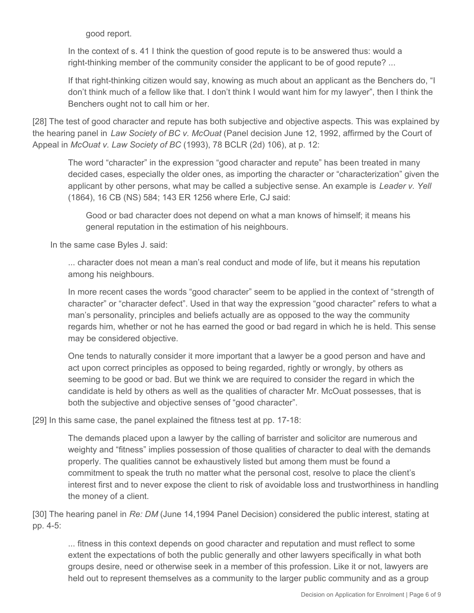good report.

In the context of s. 41 I think the question of good repute is to be answered thus: would a right-thinking member of the community consider the applicant to be of good repute? ...

If that right-thinking citizen would say, knowing as much about an applicant as the Benchers do, "I don't think much of a fellow like that. I don't think I would want him for my lawyer", then I think the Benchers ought not to call him or her.

[28] The test of good character and repute has both subjective and objective aspects. This was explained by the hearing panel in *Law Society of BC v. McOuat* (Panel decision June 12, 1992, affirmed by the Court of Appeal in *McOuat v. Law Society of BC* (1993), 78 BCLR (2d) 106), at p. 12:

The word "character" in the expression "good character and repute" has been treated in many decided cases, especially the older ones, as importing the character or "characterization" given the applicant by other persons, what may be called a subjective sense. An example is *Leader v. Yell*  (1864), 16 CB (NS) 584; 143 ER 1256 where Erle, CJ said:

Good or bad character does not depend on what a man knows of himself; it means his general reputation in the estimation of his neighbours.

In the same case Byles J. said:

... character does not mean a man's real conduct and mode of life, but it means his reputation among his neighbours.

In more recent cases the words "good character" seem to be applied in the context of "strength of character" or "character defect". Used in that way the expression "good character" refers to what a man's personality, principles and beliefs actually are as opposed to the way the community regards him, whether or not he has earned the good or bad regard in which he is held. This sense may be considered objective.

One tends to naturally consider it more important that a lawyer be a good person and have and act upon correct principles as opposed to being regarded, rightly or wrongly, by others as seeming to be good or bad. But we think we are required to consider the regard in which the candidate is held by others as well as the qualities of character Mr. McOuat possesses, that is both the subjective and objective senses of "good character".

[29] In this same case, the panel explained the fitness test at pp. 17-18:

The demands placed upon a lawyer by the calling of barrister and solicitor are numerous and weighty and "fitness" implies possession of those qualities of character to deal with the demands properly. The qualities cannot be exhaustively listed but among them must be found a commitment to speak the truth no matter what the personal cost, resolve to place the client's interest first and to never expose the client to risk of avoidable loss and trustworthiness in handling the money of a client.

[30] The hearing panel in *Re: DM* (June 14,1994 Panel Decision) considered the public interest, stating at pp. 4-5:

... fitness in this context depends on good character and reputation and must reflect to some extent the expectations of both the public generally and other lawyers specifically in what both groups desire, need or otherwise seek in a member of this profession. Like it or not, lawyers are held out to represent themselves as a community to the larger public community and as a group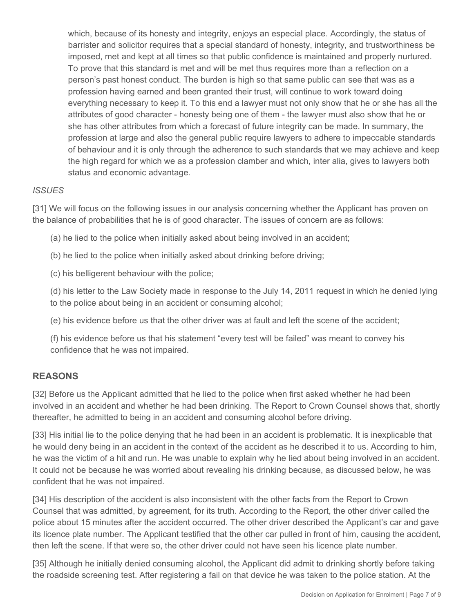which, because of its honesty and integrity, enjoys an especial place. Accordingly, the status of barrister and solicitor requires that a special standard of honesty, integrity, and trustworthiness be imposed, met and kept at all times so that public confidence is maintained and properly nurtured. To prove that this standard is met and will be met thus requires more than a reflection on a person's past honest conduct. The burden is high so that same public can see that was as a profession having earned and been granted their trust, will continue to work toward doing everything necessary to keep it. To this end a lawyer must not only show that he or she has all the attributes of good character - honesty being one of them - the lawyer must also show that he or she has other attributes from which a forecast of future integrity can be made. In summary, the profession at large and also the general public require lawyers to adhere to impeccable standards of behaviour and it is only through the adherence to such standards that we may achieve and keep the high regard for which we as a profession clamber and which, inter alia, gives to lawyers both status and economic advantage.

### *ISSUES*

[31] We will focus on the following issues in our analysis concerning whether the Applicant has proven on the balance of probabilities that he is of good character. The issues of concern are as follows:

(a) he lied to the police when initially asked about being involved in an accident;

(b) he lied to the police when initially asked about drinking before driving;

(c) his belligerent behaviour with the police;

(d) his letter to the Law Society made in response to the July 14, 2011 request in which he denied lying to the police about being in an accident or consuming alcohol;

(e) his evidence before us that the other driver was at fault and left the scene of the accident;

(f) his evidence before us that his statement "every test will be failed" was meant to convey his confidence that he was not impaired.

### **REASONS**

[32] Before us the Applicant admitted that he lied to the police when first asked whether he had been involved in an accident and whether he had been drinking. The Report to Crown Counsel shows that, shortly thereafter, he admitted to being in an accident and consuming alcohol before driving.

[33] His initial lie to the police denying that he had been in an accident is problematic. It is inexplicable that he would deny being in an accident in the context of the accident as he described it to us. According to him, he was the victim of a hit and run. He was unable to explain why he lied about being involved in an accident. It could not be because he was worried about revealing his drinking because, as discussed below, he was confident that he was not impaired.

[34] His description of the accident is also inconsistent with the other facts from the Report to Crown Counsel that was admitted, by agreement, for its truth. According to the Report, the other driver called the police about 15 minutes after the accident occurred. The other driver described the Applicant's car and gave its licence plate number. The Applicant testified that the other car pulled in front of him, causing the accident, then left the scene. If that were so, the other driver could not have seen his licence plate number.

[35] Although he initially denied consuming alcohol, the Applicant did admit to drinking shortly before taking the roadside screening test. After registering a fail on that device he was taken to the police station. At the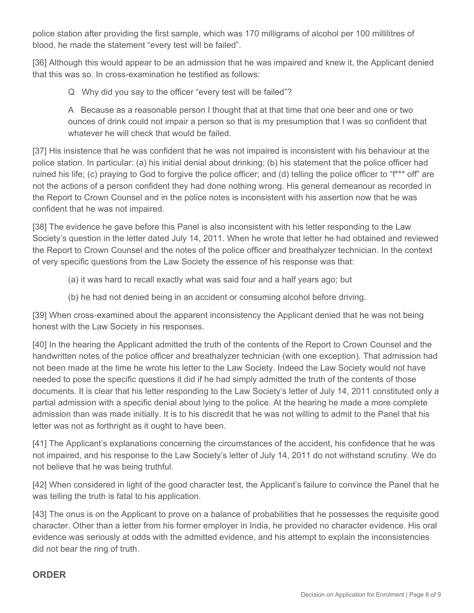police station after providing the first sample, which was 170 milligrams of alcohol per 100 millilitres of blood, he made the statement "every test will be failed".

[36] Although this would appear to be an admission that he was impaired and knew it, the Applicant denied that this was so. In cross-examination he testified as follows:

Q Why did you say to the officer "every test will be failed"?

A Because as a reasonable person I thought that at that time that one beer and one or two ounces of drink could not impair a person so that is my presumption that I was so confident that whatever he will check that would be failed.

[37] His insistence that he was confident that he was not impaired is inconsistent with his behaviour at the police station. In particular: (a) his initial denial about drinking; (b) his statement that the police officer had ruined his life; (c) praying to God to forgive the police officer; and (d) telling the police officer to "f\*\*\* off" are not the actions of a person confident they had done nothing wrong. His general demeanour as recorded in the Report to Crown Counsel and in the police notes is inconsistent with his assertion now that he was confident that he was not impaired.

[38] The evidence he gave before this Panel is also inconsistent with his letter responding to the Law Society's question in the letter dated July 14, 2011. When he wrote that letter he had obtained and reviewed the Report to Crown Counsel and the notes of the police officer and breathalyzer technician. In the context of very specific questions from the Law Society the essence of his response was that:

(a) it was hard to recall exactly what was said four and a half years ago; but

(b) he had not denied being in an accident or consuming alcohol before driving.

[39] When cross-examined about the apparent inconsistency the Applicant denied that he was not being honest with the Law Society in his responses.

[40] In the hearing the Applicant admitted the truth of the contents of the Report to Crown Counsel and the handwritten notes of the police officer and breathalyzer technician (with one exception). That admission had not been made at the time he wrote his letter to the Law Society. Indeed the Law Society would not have needed to pose the specific questions it did if he had simply admitted the truth of the contents of those documents. It is clear that his letter responding to the Law Society's letter of July 14, 2011 constituted only a partial admission with a specific denial about lying to the police. At the hearing he made a more complete admission than was made initially. It is to his discredit that he was not willing to admit to the Panel that his letter was not as forthright as it ought to have been.

[41] The Applicant's explanations concerning the circumstances of the accident, his confidence that he was not impaired, and his response to the Law Society's letter of July 14, 2011 do not withstand scrutiny. We do not believe that he was being truthful.

[42] When considered in light of the good character test, the Applicant's failure to convince the Panel that he was telling the truth is fatal to his application.

[43] The onus is on the Applicant to prove on a balance of probabilities that he possesses the requisite good character. Other than a letter from his former employer in India, he provided no character evidence. His oral evidence was seriously at odds with the admitted evidence, and his attempt to explain the inconsistencies did not bear the ring of truth.

### **ORDER**